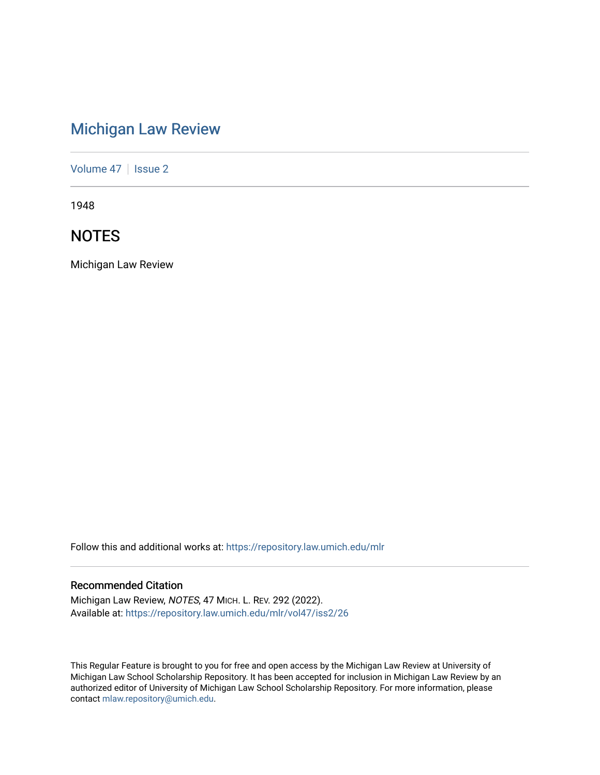# [Michigan Law Review](https://repository.law.umich.edu/mlr)

[Volume 47](https://repository.law.umich.edu/mlr/vol47) | [Issue 2](https://repository.law.umich.edu/mlr/vol47/iss2)

1948

# **NOTES**

Michigan Law Review

Follow this and additional works at: [https://repository.law.umich.edu/mlr](https://repository.law.umich.edu/mlr?utm_source=repository.law.umich.edu%2Fmlr%2Fvol47%2Fiss2%2F26&utm_medium=PDF&utm_campaign=PDFCoverPages) 

# Recommended Citation

Michigan Law Review, NOTES, 47 MICH. L. REV. 292 (2022). Available at: [https://repository.law.umich.edu/mlr/vol47/iss2/26](https://repository.law.umich.edu/mlr/vol47/iss2/26?utm_source=repository.law.umich.edu%2Fmlr%2Fvol47%2Fiss2%2F26&utm_medium=PDF&utm_campaign=PDFCoverPages) 

This Regular Feature is brought to you for free and open access by the Michigan Law Review at University of Michigan Law School Scholarship Repository. It has been accepted for inclusion in Michigan Law Review by an authorized editor of University of Michigan Law School Scholarship Repository. For more information, please contact [mlaw.repository@umich.edu](mailto:mlaw.repository@umich.edu).